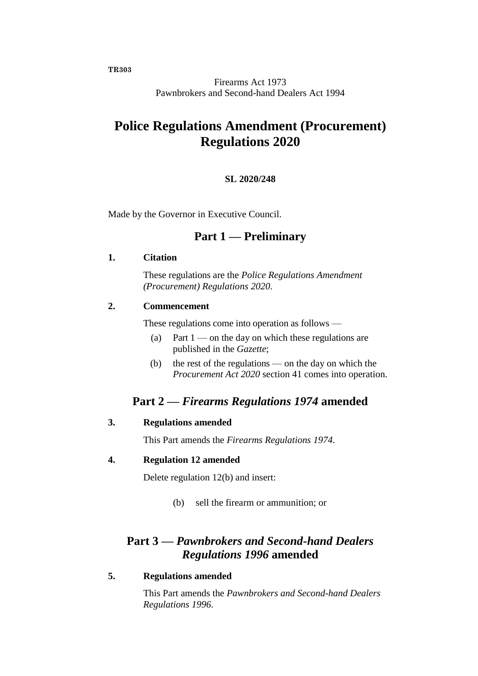**TR303**

Firearms Act 1973 Pawnbrokers and Second-hand Dealers Act 1994

# **Police Regulations Amendment (Procurement) Regulations 2020**

### **SL 2020/248**

Made by the Governor in Executive Council.

## **Part 1 — Preliminary**

#### **1. Citation**

These regulations are the *Police Regulations Amendment (Procurement) Regulations 2020*.

### **2. Commencement**

These regulations come into operation as follows —

- (a) Part  $1$  on the day on which these regulations are published in the *Gazette*;
- (b) the rest of the regulations on the day on which the *Procurement Act 2020* section 41 comes into operation.

## **Part 2 —** *Firearms Regulations 1974* **amended**

#### **3. Regulations amended**

This Part amends the *Firearms Regulations 1974*.

#### **4. Regulation 12 amended**

Delete regulation 12(b) and insert:

(b) sell the firearm or ammunition; or

## **Part 3 —** *Pawnbrokers and Second-hand Dealers Regulations 1996* **amended**

### **5. Regulations amended**

This Part amends the *Pawnbrokers and Second-hand Dealers Regulations 1996*.